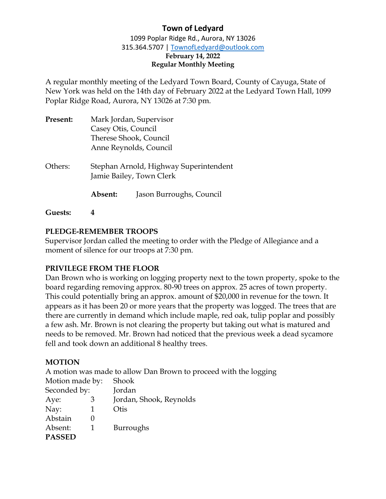1099 Poplar Ridge Rd., Aurora, NY 13026 315.364.5707 | [TownofLedyard@outlook.com](mailto:TownofLedyard@outlook.com) **February 14, 2022 Regular Monthly Meeting** 

A regular monthly meeting of the Ledyard Town Board, County of Cayuga, State of New York was held on the 14th day of February 2022 at the Ledyard Town Hall, 1099 Poplar Ridge Road, Aurora, NY 13026 at 7:30 pm.

| Present: | Mark Jordan, Supervisor<br>Casey Otis, Council |                                                                    |  |
|----------|------------------------------------------------|--------------------------------------------------------------------|--|
|          |                                                |                                                                    |  |
|          | Therese Shook, Council                         |                                                                    |  |
|          | Anne Reynolds, Council                         |                                                                    |  |
| Others:  |                                                | Stephan Arnold, Highway Superintendent<br>Jamie Bailey, Town Clerk |  |
|          | Absent:                                        | Jason Burroughs, Council                                           |  |
|          |                                                |                                                                    |  |

**Guests: 4**

#### **PLEDGE-REMEMBER TROOPS**

Supervisor Jordan called the meeting to order with the Pledge of Allegiance and a moment of silence for our troops at 7:30 pm.

#### **PRIVILEGE FROM THE FLOOR**

Dan Brown who is working on logging property next to the town property, spoke to the board regarding removing approx. 80-90 trees on approx. 25 acres of town property. This could potentially bring an approx. amount of \$20,000 in revenue for the town. It appears as it has been 20 or more years that the property was logged. The trees that are there are currently in demand which include maple, red oak, tulip poplar and possibly a few ash. Mr. Brown is not clearing the property but taking out what is matured and needs to be removed. Mr. Brown had noticed that the previous week a dead sycamore fell and took down an additional 8 healthy trees.

#### **MOTION**

A motion was made to allow Dan Brown to proceed with the logging

| Shook                   |  |
|-------------------------|--|
| Jordan                  |  |
| Jordan, Shook, Reynolds |  |
| Otis                    |  |
|                         |  |
| <b>Burroughs</b>        |  |
|                         |  |
|                         |  |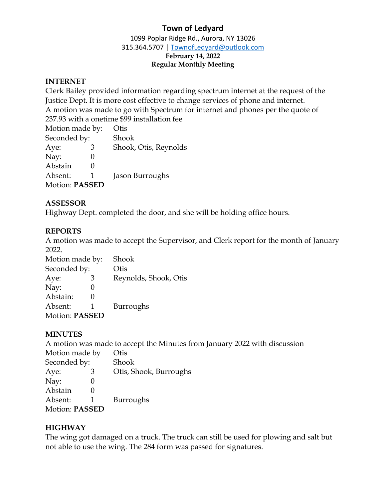1099 Poplar Ridge Rd., Aurora, NY 13026 315.364.5707 | [TownofLedyard@outlook.com](mailto:TownofLedyard@outlook.com) **February 14, 2022 Regular Monthly Meeting** 

#### **INTERNET**

Clerk Bailey provided information regarding spectrum internet at the request of the Justice Dept. It is more cost effective to change services of phone and internet. A motion was made to go with Spectrum for internet and phones per the quote of 237.93 with a onetime \$99 installation fee

| Otis                  |
|-----------------------|
| Shook                 |
| Shook, Otis, Reynolds |
|                       |
|                       |
| Jason Burroughs       |
|                       |
|                       |

#### **ASSESSOR**

Highway Dept. completed the door, and she will be holding office hours.

#### **REPORTS**

A motion was made to accept the Supervisor, and Clerk report for the month of January 2022.

| Motion made by:       | Shook                 |
|-----------------------|-----------------------|
| Seconded by:          | Otis                  |
| Aye:<br>З             | Reynolds, Shook, Otis |
| Nay:                  |                       |
| Abstain:              |                       |
| Absent:               | Burroughs             |
| <b>Motion: PASSED</b> |                       |

#### **MINUTES**

A motion was made to accept the Minutes from January 2022 with discussion

| Motion made by        | Otis                   |
|-----------------------|------------------------|
| Seconded by:          | Shook                  |
| З<br>Aye:             | Otis, Shook, Burroughs |
| Nay:                  |                        |
| Abstain               |                        |
| Absent:               | Burroughs              |
| <b>Motion: PASSED</b> |                        |

#### **HIGHWAY**

The wing got damaged on a truck. The truck can still be used for plowing and salt but not able to use the wing. The 284 form was passed for signatures.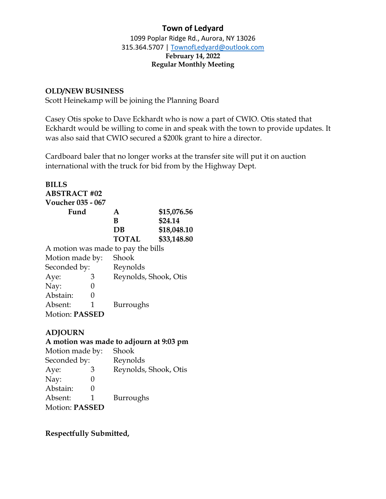1099 Poplar Ridge Rd., Aurora, NY 13026 315.364.5707 | [TownofLedyard@outlook.com](mailto:TownofLedyard@outlook.com) **February 14, 2022 Regular Monthly Meeting** 

#### **OLD/NEW BUSINESS**

Scott Heinekamp will be joining the Planning Board

Casey Otis spoke to Dave Eckhardt who is now a part of CWIO. Otis stated that Eckhardt would be willing to come in and speak with the town to provide updates. It was also said that CWIO secured a \$200k grant to hire a director.

Cardboard baler that no longer works at the transfer site will put it on auction international with the truck for bid from by the Highway Dept.

# **BILLS ABSTRACT #02 Voucher 035 - 067**

| Fund | A            | \$15,076.56 |
|------|--------------|-------------|
|      | R            | \$24.14     |
|      | DB           | \$18,048.10 |
|      | <b>TOTAL</b> | \$33,148.80 |
|      |              |             |

A motion was made to pay the bills Motion made by: Shook Seconded by: Reynolds

| Aye:                  | З | Reynolds, Shook, Otis |
|-----------------------|---|-----------------------|
| Nay:                  |   |                       |
| Abstain:              |   |                       |
| Absent:               | п | Burroughs             |
| <b>Motion: PASSED</b> |   |                       |

# **ADJOURN**

#### **A motion was made to adjourn at 9:03 pm**

| Motion made by:       |                   | Shook                 |
|-----------------------|-------------------|-----------------------|
| Seconded by:          |                   | Reynolds              |
| Aye:                  | З                 | Reynolds, Shook, Otis |
| Nay:                  | 0                 |                       |
| Abstain:              | $\mathbf{\Omega}$ |                       |
| Absent:               | 1                 | Burroughs             |
| <b>Motion: PASSED</b> |                   |                       |

### **Respectfully Submitted,**